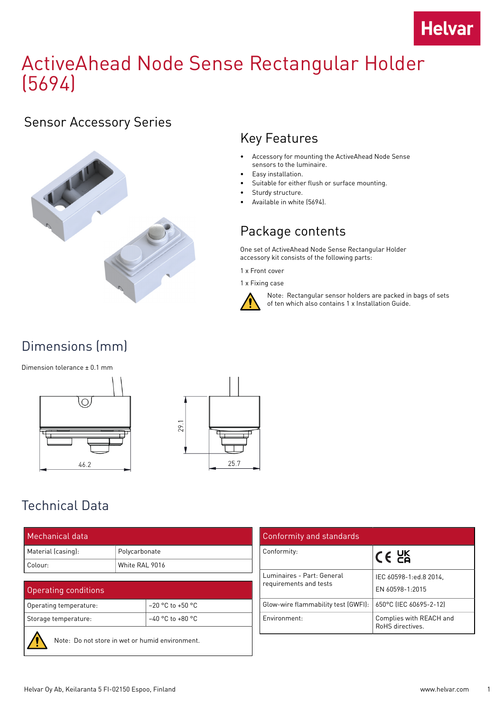

# ActiveAhead Node Sense Rectangular Holder (5694)

### Sensor Accessory Series



### Key Features

- Accessory for mounting the ActiveAhead Node Sense sensors to the luminaire.
- Easy installation.
- Suitable for either flush or surface mounting.
- Sturdy structure.
- Available in white (5694).

### Package contents

One set of ActiveAhead Node Sense Rectangular Holder accessory kit consists of the following parts:

- 1 x Front cover
- 1 x Fixing case



Note: Rectangular sensor holders are packed in bags of sets of ten which also contains 1 x Installation Guide.

# Dimensions (mm)

Dimension tolerance ± 0.1 mm





# Technical Data

| Mechanical data    |                |  |
|--------------------|----------------|--|
| Material (casing): | Polycarbonate  |  |
| Colour:            | White RAI 9016 |  |

#### Operating conditions

| Operating temperature: | $-20$ °C to +50 °C |
|------------------------|--------------------|
| Storage temperature:   | $-40$ °C to +80 °C |
|                        |                    |



Note: Do not store in wet or humid environment.

| Conformity and standards                             |                                            |
|------------------------------------------------------|--------------------------------------------|
| Conformity:                                          | $C \in \mathcal{C}^{\mathsf{K}}$           |
| Luminaires - Part: General<br>requirements and tests | IEC 60598-1:ed.8 2014.<br>EN 60598-1:2015  |
| Glow-wire flammability test (GWFI):                  | 650°C (IEC 60695-2-12)                     |
| Environment:                                         | Complies with REACH and<br>RoHS directives |